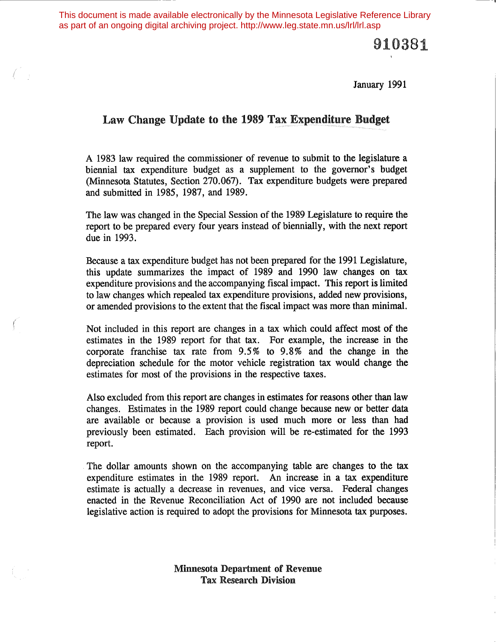This document is made available electronically by the Minnesota Legislative Reference Library as part of an ongoing digital archiving project. http://www.leg.state.mn.us/lrl/lrl.asp

910381

--,

January 1991

## Law Change Update to the 1989 Tax Expenditure Budget

A 1983 law required the commissioner of revenue to submit to the legislature a biennial tax expenditure budget as a supplement to the governor's budget (Minnesota Statutes, Section 270.067). Tax expenditure budgets were prepared and submitted in 1985, 1987, and 1989.

The law was changed in the Special Session of the 1989 Legislature to require the report to be prepared every four years instead of biennially, with the next report due in 1993.

Because a tax expenditure budget has not been prepared for the 1991 Legislature, this update summarizes the impact of 1989 and 1990 law changes on tax expenditure provisions and the accompanying fiscal impact. This report is limited to law changes which repealed tax expenditure provisions, added new provisions, or amended provisions to the extent that the fiscal impact was more than minimal.

Not included in this report are changes in a tax which could affect most of the estimates in the 1989 report for that tax. For example, the increase in the corporate franchise tax rate from 9.5 % to 9.8% and the change in the depreciation schedule for the motor vehicle registration tax would change the estimates for most of the provisions in the respective taxes.

Also excluded from this report are changes in estimates for reasons other than law changes. Estimates in the 1989 report could change because new or better data are available or because a provision is used much more or less than had previously been estimated. Each provision will be re-estimated for the 1993 report.

The dollar amounts shown on the accompanying table are changes to the tax expenditure estimates in the 1989 report. An increase in a tax expenditure estimate is actually a decrease in revenues, and vice versa. Federal changes enacted in the Revenue Reconciliation Act of 1990 are not included because legislative action is required to adopt the provisions for Minnesota tax purposes.

> Minnesota Department of Revenue Tax Research Division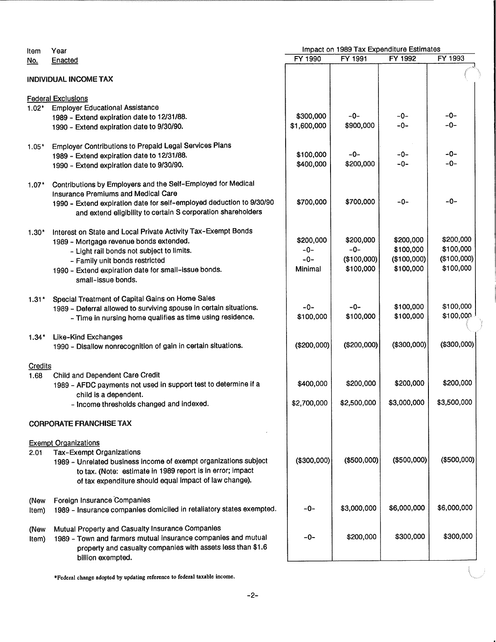| ltem    | Year                                                                                                | Impact on 1989 Tax Expenditure Estimates |             |             |             |  |
|---------|-----------------------------------------------------------------------------------------------------|------------------------------------------|-------------|-------------|-------------|--|
| No.     | Enacted                                                                                             | FY 1990                                  | FY 1991     | FY 1992     | FY 1993     |  |
|         | INDIVIDUAL INCOME TAX                                                                               |                                          |             |             |             |  |
|         | <b>Federal Exclusions</b>                                                                           |                                          |             |             |             |  |
| $1.02*$ | <b>Employer Educational Assistance</b>                                                              |                                          |             |             |             |  |
|         | 1989 - Extend expiration date to 12/31/88.                                                          | \$300,000                                | $-0-$       | $-0-$       | -0-         |  |
|         | 1990 - Extend expiration date to 9/30/90.                                                           | \$1,600,000                              | \$900,000   | $-0-$       | $-0-$       |  |
| $1.05*$ | Employer Contributions to Prepaid Legal Services Plans                                              |                                          |             |             |             |  |
|         | 1989 - Extend expiration date to 12/31/88.                                                          | \$100,000                                | $-0-$       | -0-         | $-0-$       |  |
|         | 1990 - Extend expiration date to 9/30/90.                                                           | \$400,000                                | \$200,000   | -0-         | $-0-$       |  |
|         |                                                                                                     |                                          |             |             |             |  |
| $1.07*$ | Contributions by Employers and the Self-Employed for Medical                                        |                                          |             |             |             |  |
|         | <b>Insurance Premiums and Medical Care</b>                                                          |                                          |             | $-0-$       | $-0-$       |  |
|         | 1990 - Extend expiration date for self-employed deduction to 9/30/90                                | \$700,000                                | \$700,000   |             |             |  |
|         | and extend eligibility to certain S corporation shareholders                                        |                                          |             |             |             |  |
| $1.30*$ | Interest on State and Local Private Activity Tax-Exempt Bonds                                       |                                          |             |             |             |  |
|         | 1989 - Mortgage revenue bonds extended.                                                             | \$200,000                                | \$200,000   | \$200,000   | \$200,000   |  |
|         | - Light rail bonds not subject to limits.                                                           | $-0-$                                    | $-0-$       | \$100,000   | \$100,000   |  |
|         | - Family unit bonds restricted                                                                      | $-0-$                                    | (\$100,000) | (\$100,000) | (\$100,000) |  |
|         | 1990 - Extend expiration date for small-issue bonds.                                                | Minimal                                  | \$100,000   | \$100,000   | \$100,000   |  |
|         | small-issue bonds.                                                                                  |                                          |             |             |             |  |
| $1.31*$ | Special Treatment of Capital Gains on Home Sales                                                    |                                          |             |             |             |  |
|         | 1989 - Deferral allowed to surviving spouse in certain situations.                                  | $-0-$                                    | $-0-$       | \$100,000   | \$100,000   |  |
|         | - Time in nursing home qualifies as time using residence.                                           | \$100,000                                | \$100,000   | \$100,000   | \$100,000   |  |
|         |                                                                                                     |                                          |             |             |             |  |
| $1.34*$ | Like-Kind Exchanges                                                                                 | (\$200,000)                              | (\$200,000) | (\$300,000) | (\$300,000) |  |
|         | 1990 - Disallow nonrecognition of gain in certain situations.                                       |                                          |             |             |             |  |
| Credits |                                                                                                     |                                          |             |             |             |  |
| 1.68    | Child and Dependent Care Credit                                                                     |                                          |             |             |             |  |
|         | 1989 - AFDC payments not used in support test to determine if a                                     | \$400,000                                | \$200,000   | \$200,000   | \$200,000   |  |
|         | child is a dependent.                                                                               |                                          |             |             |             |  |
|         | - Income thresholds changed and indexed.                                                            | \$2,700,000                              | \$2,500,000 | \$3,000,000 | \$3,500,000 |  |
|         | <b>CORPORATE FRANCHISE TAX</b>                                                                      |                                          |             |             |             |  |
|         |                                                                                                     |                                          |             |             |             |  |
| 2.01    | <b>Exempt Organizations</b><br><b>Tax-Exempt Organizations</b>                                      |                                          |             |             |             |  |
|         | 1989 - Unrelated business income of exempt organizations subject                                    | (\$300,000)                              | (\$500,000) | (\$500,000) | (\$500,000) |  |
|         | to tax. (Note: estimate in 1989 report is in error; impact                                          |                                          |             |             |             |  |
|         | of tax expenditure should equal impact of law change).                                              |                                          |             |             |             |  |
|         |                                                                                                     |                                          |             |             |             |  |
| (New    | Foreign Insurance Companies<br>1989 - Insurance companies domiciled in retaliatory states exempted. | -0-                                      | \$3,000,000 | \$6,000,000 | \$6,000,000 |  |
| Item)   |                                                                                                     |                                          |             |             |             |  |
| (New    | Mutual Property and Casualty Insurance Companies                                                    |                                          |             |             |             |  |
| Item)   | 1989 - Town and farmers mutual insurance companies and mutual                                       | -0-                                      | \$200,000   | \$300,000   | \$300,000   |  |
|         | property and casualty companies with assets less than \$1.6                                         |                                          |             |             |             |  |
|         | billion exempted.                                                                                   |                                          |             |             |             |  |

• Federal change adopted by updating reference to federal taxable income.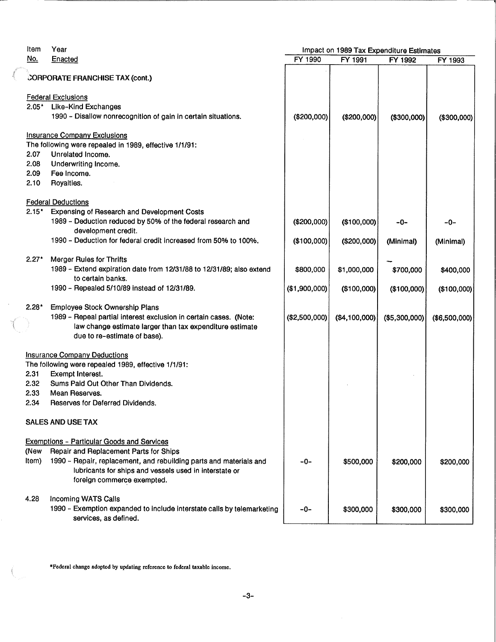| Item       | Year                                                                                      | Impact on 1989 Tax Expenditure Estimates |               |               |               |  |
|------------|-------------------------------------------------------------------------------------------|------------------------------------------|---------------|---------------|---------------|--|
| <u>No.</u> | <b>Enacted</b>                                                                            | FY 1990                                  | FY 1991       | FY 1992       | FY 1993       |  |
|            | CORPORATE FRANCHISE TAX (cont.)                                                           |                                          |               |               |               |  |
|            |                                                                                           |                                          |               |               |               |  |
|            | <b>Federal Exclusions</b>                                                                 |                                          |               |               |               |  |
| $2.05*$    | Like-Kind Exchanges                                                                       |                                          |               |               |               |  |
|            | 1990 - Disallow nonrecognition of gain in certain situations.                             | (\$200,000)                              | (\$200,000)   | (\$300,000)   | (\$300,000)   |  |
|            | <b>Insurance Company Exclusions</b>                                                       |                                          |               |               |               |  |
|            | The following were repealed in 1989, effective 1/1/91:                                    |                                          |               |               |               |  |
| 2.07       | Unrelated Income.                                                                         |                                          |               |               |               |  |
| 2.08       | Underwriting Income.                                                                      |                                          |               |               |               |  |
| 2.09       | Fee Income.                                                                               |                                          |               |               |               |  |
| 2.10       | Royalties.                                                                                |                                          |               |               |               |  |
|            | <b>Federal Deductions</b>                                                                 |                                          |               |               |               |  |
| $2.15*$    | Expensing of Research and Development Costs                                               |                                          |               |               |               |  |
|            | 1989 - Deduction reduced by 50% of the federal research and<br>development credit.        | (\$200,000)                              | (\$100,000)   | -0-           | -0-           |  |
|            | 1990 - Deduction for federal credit increased from 50% to 100%.                           | (\$100,000)                              | (\$200,000)   | (Minimal)     | (Minimal)     |  |
|            |                                                                                           |                                          |               |               |               |  |
| $2.27*$    | <b>Merger Rules for Thrifts</b>                                                           |                                          |               |               |               |  |
|            | 1989 - Extend expiration date from 12/31/88 to 12/31/89; also extend<br>to certain banks. | \$800,000                                | \$1,000,000   | \$700,000     | \$400,000     |  |
|            | 1990 - Repealed 5/10/89 instead of 12/31/89.                                              | (\$1,900,000)                            | (\$100,000)   | (\$100,000)   | (\$100,000)   |  |
| $2.28^*$   | Employee Stock Ownership Plans                                                            |                                          |               |               |               |  |
|            | 1989 - Repeal partial interest exclusion in certain cases. (Note:                         | (\$2,500,000)                            | (\$4,100,000) | (\$5,300,000) | (\$6,500,000) |  |
|            | law change estimate larger than tax expenditure estimate                                  |                                          |               |               |               |  |
|            | due to re-estimate of base).                                                              |                                          |               |               |               |  |
|            | <b>Insurance Company Deductions</b>                                                       |                                          |               |               |               |  |
|            | The following were repealed 1989, effective 1/1/91:                                       |                                          |               |               |               |  |
| 2.31       | Exempt Interest.                                                                          |                                          |               |               |               |  |
| 2.32       | Sums Paid Out Other Than Dividends.                                                       |                                          |               |               |               |  |
| 2.33       | Mean Reserves.                                                                            |                                          |               |               |               |  |
| 2.34       | Reserves for Deferred Dividends.                                                          |                                          |               |               |               |  |
|            | <b>SALES AND USE TAX</b>                                                                  |                                          |               |               |               |  |
|            | <b>Exemptions - Particular Goods and Services</b>                                         |                                          |               |               |               |  |
| (New       | Repair and Replacement Parts for Ships                                                    |                                          |               |               |               |  |
| Item)      | 1990 - Repair, replacement, and rebuilding parts and materials and                        | $-0-$                                    | \$500,000     | \$200,000     | \$200,000     |  |
|            | lubricants for ships and vessels used in interstate or                                    |                                          |               |               |               |  |
|            | foreign commerce exempted.                                                                |                                          |               |               |               |  |
| 4.28       | <b>Incoming WATS Calls</b>                                                                |                                          |               |               |               |  |
|            | 1990 - Exemption expanded to include interstate calls by telemarketing                    | -0-                                      | \$300,000     |               |               |  |
|            | services, as defined.                                                                     |                                          |               | \$300,000     | \$300,000     |  |

•Federal change adopted by updating reference to federal taxable income.

 $\left($